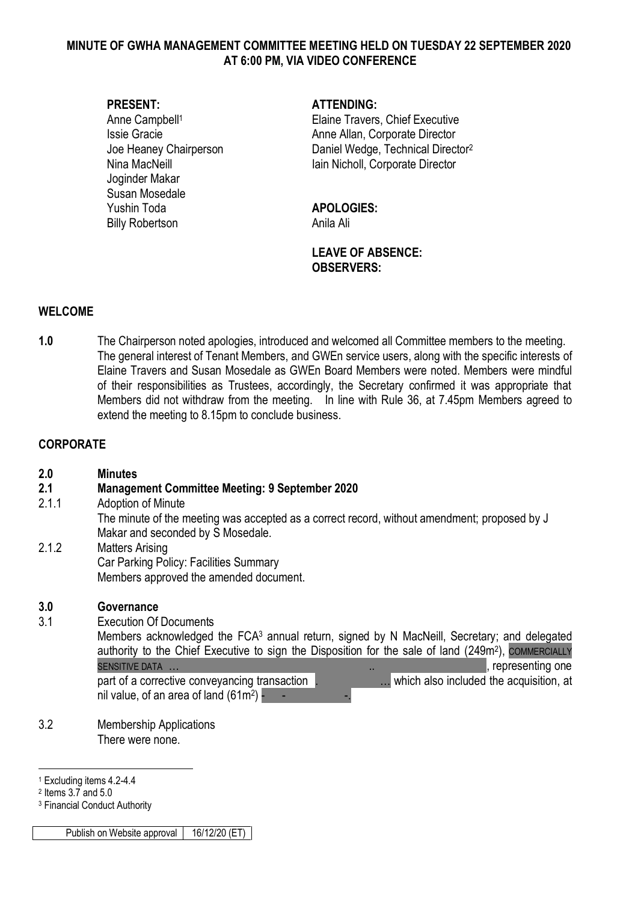#### **MINUTE OF GWHA MANAGEMENT COMMITTEE MEETING HELD ON TUESDAY 22 SEPTEMBER 2020 AT 6:00 PM, VIA VIDEO CONFERENCE**

Joginder Makar Susan Mosedale Yushin Toda **APOLOGIES:** Billy Robertson **Anila Ali** 

#### **PRESENT: ATTENDING:**

Anne Campbell<sup>1</sup> Elaine Travers, Chief Executive Issie Gracie **Anne Allan, Corporate Director** Anne Allan, Corporate Director Joe Heaney Chairperson Daniel Wedge, Technical Director<sup>2</sup> Nina MacNeill **Iain Nicholl**, Corporate Director

#### **LEAVE OF ABSENCE: OBSERVERS:**

#### **WELCOME**

**1.0** The Chairperson noted apologies, introduced and welcomed all Committee members to the meeting. The general interest of Tenant Members, and GWEn service users, along with the specific interests of Elaine Travers and Susan Mosedale as GWEn Board Members were noted. Members were mindful of their responsibilities as Trustees, accordingly, the Secretary confirmed it was appropriate that Members did not withdraw from the meeting. In line with Rule 36, at 7.45pm Members agreed to extend the meeting to 8.15pm to conclude business.

#### **CORPORATE**

#### **2.0 Minutes 2.1 Management Committee Meeting: 9 September 2020**

2.1.1 Adoption of Minute

The minute of the meeting was accepted as a correct record, without amendment; proposed by J Makar and seconded by S Mosedale.

2.1.2 Matters Arising Car Parking Policy: Facilities Summary Members approved the amended document.

#### **3.0 Governance**

3.1 Execution Of Documents

Members acknowledged the FCA<sup>3</sup> annual return, signed by N MacNeill, Secretary; and delegated authority to the Chief Executive to sign the Disposition for the sale of land (249m<sup>2</sup>), COMMERCIALLY SENSITIVE DATA … .. , representing one part of a corrective conveyancing transaction . . . . . . . . . . . . . . which also included the acquisition, at

nil value, of an area of land  $(61m^2)$  -  $\qquad \qquad -$ .

3.2 Membership Applications There were none.

<sup>1</sup> <sup>1</sup> Excluding items 4.2-4.4

<sup>2</sup> Items 3.7 and 5.0

<sup>3</sup> Financial Conduct Authority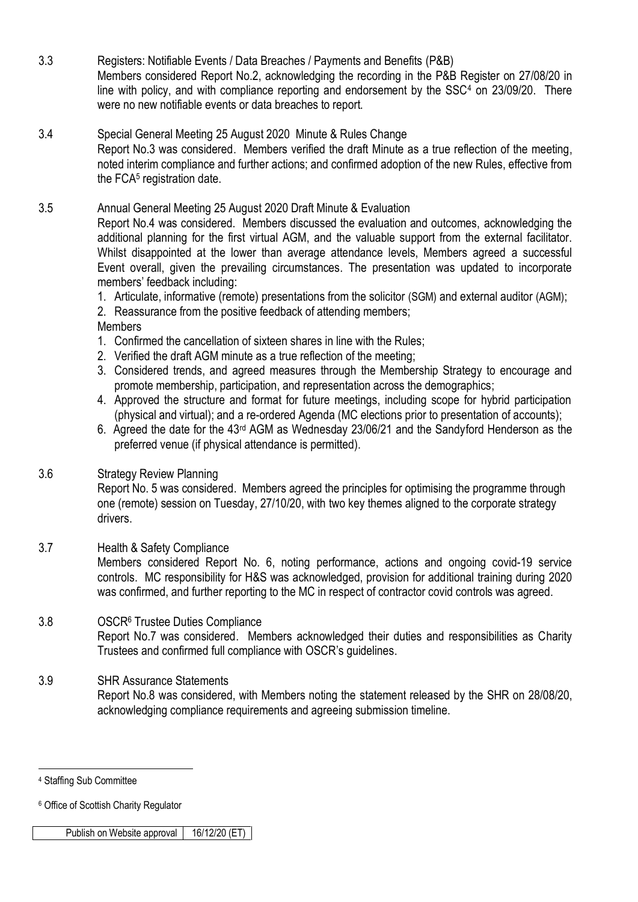- 3.3 Registers: Notifiable Events / Data Breaches / Payments and Benefits (P&B) Members considered Report No.2, acknowledging the recording in the P&B Register on 27/08/20 in line with policy, and with compliance reporting and endorsement by the SSC<sup>4</sup> on 23/09/20. There were no new notifiable events or data breaches to report.
- 3.4 Special General Meeting 25 August 2020 Minute & Rules Change Report No.3 was considered. Members verified the draft Minute as a true reflection of the meeting, noted interim compliance and further actions; and confirmed adoption of the new Rules, effective from the FCA<sup>5</sup> registration date.
- 3.5 Annual General Meeting 25 August 2020 Draft Minute & Evaluation

Report No.4 was considered. Members discussed the evaluation and outcomes, acknowledging the additional planning for the first virtual AGM, and the valuable support from the external facilitator. Whilst disappointed at the lower than average attendance levels, Members agreed a successful Event overall, given the prevailing circumstances. The presentation was updated to incorporate members' feedback including:

- 1. Articulate, informative (remote) presentations from the solicitor (SGM) and external auditor (AGM);
- 2. Reassurance from the positive feedback of attending members;

**Members** 

- 1. Confirmed the cancellation of sixteen shares in line with the Rules;
- 2. Verified the draft AGM minute as a true reflection of the meeting;
- 3. Considered trends, and agreed measures through the Membership Strategy to encourage and promote membership, participation, and representation across the demographics;
- 4. Approved the structure and format for future meetings, including scope for hybrid participation (physical and virtual); and a re-ordered Agenda (MC elections prior to presentation of accounts);
- 6. Agreed the date for the 43rd AGM as Wednesday 23/06/21 and the Sandyford Henderson as the preferred venue (if physical attendance is permitted).

# 3.6 Strategy Review Planning

Report No. 5 was considered. Members agreed the principles for optimising the programme through one (remote) session on Tuesday, 27/10/20, with two key themes aligned to the corporate strategy drivers.

3.7 Health & Safety Compliance Members considered Report No. 6, noting performance, actions and ongoing covid-19 service controls. MC responsibility for H&S was acknowledged, provision for additional training during 2020 was confirmed, and further reporting to the MC in respect of contractor covid controls was agreed.

## 3.8 OSCR<sup>6</sup> Trustee Duties Compliance Report No.7 was considered. Members acknowledged their duties and responsibilities as Charity Trustees and confirmed full compliance with OSCR's guidelines.

3.9 SHR Assurance Statements Report No.8 was considered, with Members noting the statement released by the SHR on 28/08/20, acknowledging compliance requirements and agreeing submission timeline.

1

<sup>4</sup> Staffing Sub Committee

<sup>6</sup> Office of Scottish Charity Regulator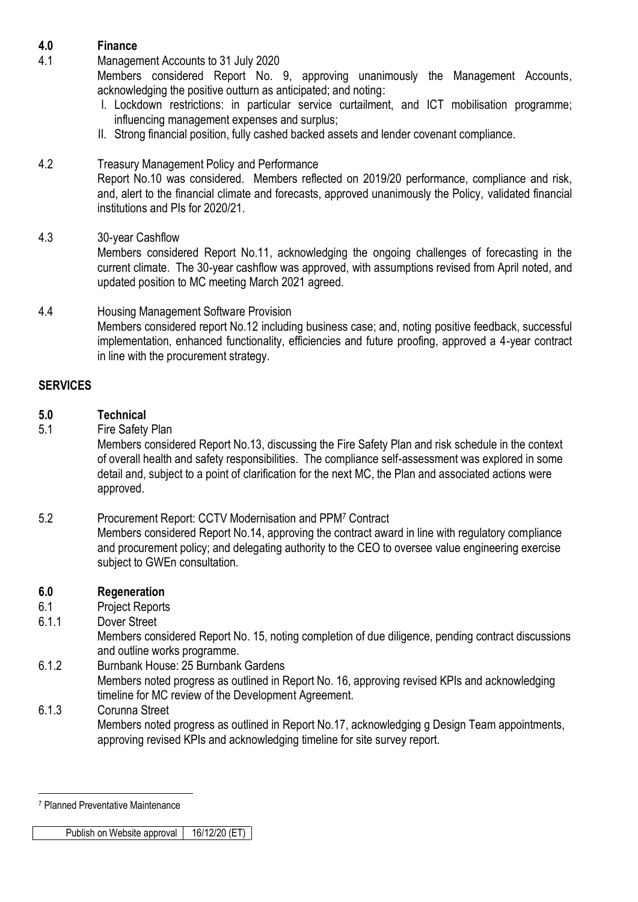## **4.0 Finance**

4.1 Management Accounts to 31 July 2020

Members considered Report No. 9, approving unanimously the Management Accounts, acknowledging the positive outturn as anticipated; and noting:

- I. Lockdown restrictions: in particular service curtailment, and ICT mobilisation programme; influencing management expenses and surplus;
- II. Strong financial position, fully cashed backed assets and lender covenant compliance.

# 4.2 Treasury Management Policy and Performance

Report No.10 was considered. Members reflected on 2019/20 performance, compliance and risk, and, alert to the financial climate and forecasts, approved unanimously the Policy, validated financial institutions and PIs for 2020/21.

## 4.3 30-year Cashflow

Members considered Report No.11, acknowledging the ongoing challenges of forecasting in the current climate. The 30-year cashflow was approved, with assumptions revised from April noted, and updated position to MC meeting March 2021 agreed.

## 4.4 Housing Management Software Provision Members considered report No.12 including business case; and, noting positive feedback, successful implementation, enhanced functionality, efficiencies and future proofing, approved a 4-year contract in line with the procurement strategy.

# **SERVICES**

# **5.0 Technical**

5.1 Fire Safety Plan

Members considered Report No.13, discussing the Fire Safety Plan and risk schedule in the context of overall health and safety responsibilities. The compliance self-assessment was explored in some detail and, subject to a point of clarification for the next MC, the Plan and associated actions were approved.

5.2 Procurement Report: CCTV Modernisation and PPM<sup>7</sup> Contract Members considered Report No.14, approving the contract award in line with regulatory compliance and procurement policy; and delegating authority to the CEO to oversee value engineering exercise subject to GWEn consultation.

# **6.0 Regeneration**

- 6.1 Project Reports
- 6.1.1 Dover Street

Members considered Report No. 15, noting completion of due diligence, pending contract discussions and outline works programme.

- 6.1.2 Burnbank House: 25 Burnbank Gardens Members noted progress as outlined in Report No. 16, approving revised KPIs and acknowledging timeline for MC review of the Development Agreement.
- 6.1.3 Corunna Street Members noted progress as outlined in Report No.17, acknowledging g Design Team appointments, approving revised KPIs and acknowledging timeline for site survey report.

1

<sup>7</sup> Planned Preventative Maintenance